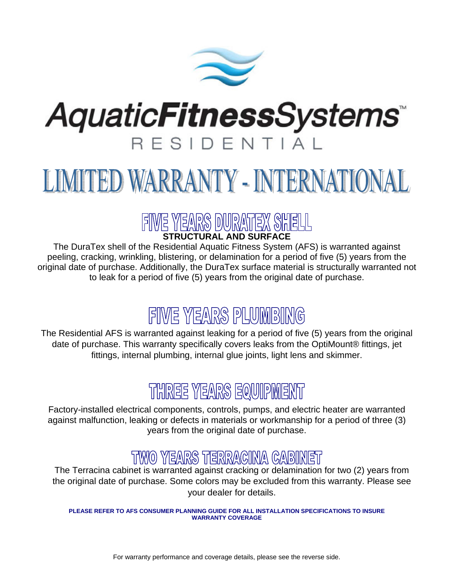

## **AquaticFitnessSystems** RESIDENTIAL

# LIMITED WARRANTY - INTERNATIONAL

## STRUCTURAL AND SURFACE

The DuraTex shell of the Residential Aquatic Fitness System (AFS) is warranted against peeling, cracking, wrinkling, blistering, or delamination for a period of five (5) years from the original date of purchase. Additionally, the DuraTex surface material is structurally warranted not to leak for a period of five (5) years from the original date of purchase.

## FIWE YEARS PLUMBING

The Residential AFS is warranted against leaking for a period of five (5) years from the original date of purchase. This warranty specifically covers leaks from the OptiMount® fittings, jet fittings, internal plumbing, internal glue joints, light lens and skimmer.

### THREE YEARS EQUIPMENT

Factory-installed electrical components, controls, pumps, and electric heater are warranted against malfunction, leaking or defects in materials or workmanship for a period of three (3) years from the original date of purchase.

### TWO YEARS TERRACINA CABINET

The Terracina cabinet is warranted against cracking or delamination for two (2) years from the original date of purchase. Some colors may be excluded from this warranty. Please see your dealer for details.

**PLEASE REFER TO AFS CONSUMER PLANNING GUIDE FOR ALL INSTALLATION SPECIFICATIONS TO INSURE WARRANTY COVERAGE**